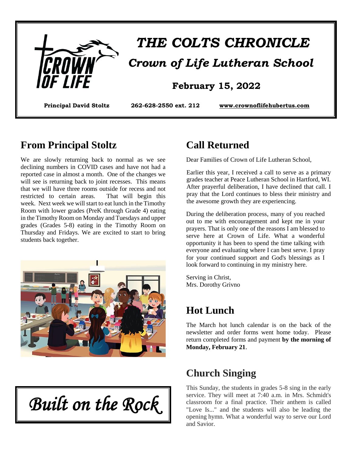

# *THE COLTS CHRONICLE Crown of Life Lutheran School*

#### **February 15, 2022**

**Principal David Stoltz 262-628-2550 ext. 212 [www.crownoflifehubertus.com](http://www.crownoflifehubertus.com/)**

#### **From Principal Stoltz**

We are slowly returning back to normal as we see declining numbers in COVID cases and have not had a reported case in almost a month. One of the changes we will see is returning back to joint recesses. This means that we will have three rooms outside for recess and not restricted to certain areas. That will begin this week. Next week we will start to eat lunch in the Timothy Room with lower grades (PreK through Grade 4) eating in the Timothy Room on Monday and Tuesdays and upper grades (Grades 5-8) eating in the Timothy Room on Thursday and Fridays. We are excited to start to bring students back together.



*Built on the Rock* 

### **Call Returned**

Dear Families of Crown of Life Lutheran School,

Earlier this year, I received a call to serve as a primary grades teacher at Peace Lutheran School in Hartford, WI. After prayerful deliberation, I have declined that call. I pray that the Lord continues to bless their ministry and the awesome growth they are experiencing.

During the deliberation process, many of you reached out to me with encouragement and kept me in your prayers. That is only one of the reasons I am blessed to serve here at Crown of Life. What a wonderful opportunity it has been to spend the time talking with everyone and evaluating where I can best serve. I pray for your continued support and God's blessings as I look forward to continuing in my ministry here.

Serving in Christ, Mrs. Dorothy Grivno

# **Hot Lunch**

The March hot lunch calendar is on the back of the newsletter and order forms went home today. Please return completed forms and payment **by the morning of Monday, February 21**.

### **Church Singing**

This Sunday, the students in grades 5-8 sing in the early service. They will meet at 7:40 a.m. in Mrs. Schmidt's classroom for a final practice. Their anthem is called "Love Is..." and the students will also be leading the opening hymn. What a wonderful way to serve our Lord and Savior.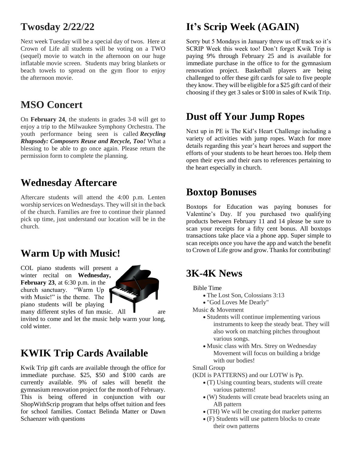#### **Twosday 2/22/22**

Next week Tuesday will be a special day of twos. Here at Crown of Life all students will be voting on a TWO (sequel) movie to watch in the afternoon on our huge inflatable movie screen. Students may bring blankets or beach towels to spread on the gym floor to enjoy the afternoon movie.

## **MSO Concert**

On **February 24**, the students in grades 3-8 will get to enjoy a trip to the Milwaukee Symphony Orchestra. The youth performance being seen is called *Recycling Rhapsody: Composers Reuse and Recycle, Too!* What a blessing to be able to go once again. Please return the permission form to complete the planning.

#### **Wednesday Aftercare**

Aftercare students will attend the 4:00 p.m. Lenten worship services on Wednesdays. They will sit in the back of the church. Families are free to continue their planned pick up time, just understand our location will be in the church.

### **Warm Up with Music!**

COL piano students will present a winter recital on **Wednesday, February 23**, at 6:30 p.m. in the church sanctuary. "Warm Up with Music!" is the theme. The piano students will be playing many different styles of fun music. All  $\blacksquare$  are



invited to come and let the music help warm your long, cold winter.

#### **KWIK Trip Cards Available**

Kwik Trip gift cards are available through the office for immediate purchase. \$25, \$50 and \$100 cards are currently available. 9% of sales will benefit the gymnasium renovation project for the month of February. This is being offered in conjunction with our ShopWithScrip program that helps offset tuition and fees for school families. Contact Belinda Matter or Dawn Schaenzer with questions

# **It's Scrip Week (AGAIN)**

Sorry but 5 Mondays in January threw us off track so it's SCRIP Week this week too! Don't forget Kwik Trip is paying 9% through February 25 and is available for immediate purchase in the office to for the gymnasium renovation project. Basketball players are being challenged to offer these gift cards for sale to five people they know. They will be eligible for a \$25 gift card of their choosing if they get 3 sales or \$100 in sales of Kwik Trip.

#### **Dust off Your Jump Ropes**

Next up in PE is The Kid's Heart Challenge including a variety of activities with jump ropes. Watch for more details regarding this year's heart heroes and support the efforts of your students to be heart heroes too. Help them open their eyes and their ears to references pertaining to the heart especially in church.

#### **Boxtop Bonuses**

Boxtops for Education was paying bonuses for Valentine's Day. If you purchased two qualifying products between February 11 and 14 please be sure to scan your receipts for a fifty cent bonus. All boxtops transactions take place via a phone app. Super simple to scan receipts once you have the app and watch the benefit to Crown of Life grow and grow. Thanks for contributing!

#### **3K-4K News**

#### Bible Time

- The Lost Son, Colossians 3:13
- "God Loves Me Dearly"
- Music & Movement
	- Students will continue implementing various instruments to keep the steady beat. They will also work on matching pitches throughout various songs.
	- Music class with Mrs. Strey on Wednesday Movement will focus on building a bridge with our bodies!

Small Group

- (KDI is PATTERNS) and our LOTW is Pp.
	- (T) Using counting bears, students will create various patterns!
	- (W) Students will create bead bracelets using an AB pattern
	- (TH) We will be creating dot marker patterns
	- (F) Students will use pattern blocks to create their own patterns